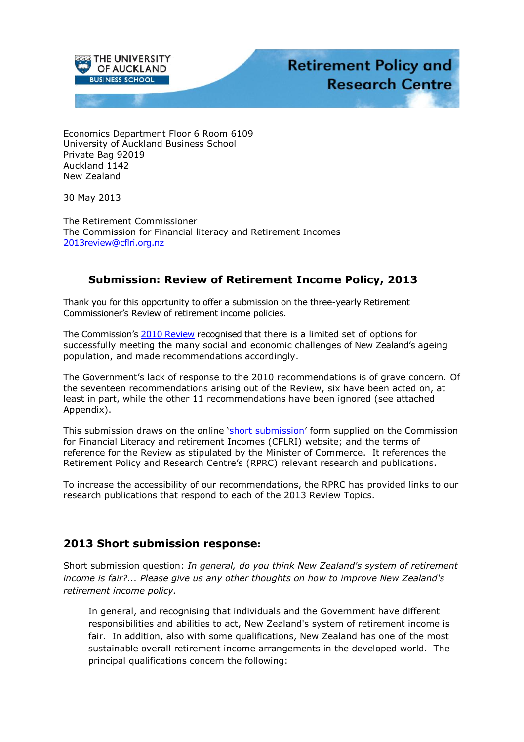

Economics Department Floor 6 Room 6109 University of Auckland Business School Private Bag 92019 Auckland 1142 New Zealand

30 May 2013

The Retirement Commissioner The Commission for Financial literacy and Retirement Incomes [2013review@cflri.org.nz](mailto:2013review@cflri.org.nz?subject=Submission)

## **Submission: Review of Retirement Income Policy, 2013**

Thank you for this opportunity to offer a submission on the three-yearly Retirement Commissioner's Review of retirement income policies.

The Commission's [2010 Review](http://www.cflri.org.nz/sites/default/files/docs/RI-Review-2010-Summary.pdf) recognised that there is a limited set of options for successfully meeting the many social and economic challenges of New Zealand's ageing population, and made recommendations accordingly.

The Government's lack of response to the 2010 recommendations is of grave concern. Of the seventeen recommendations arising out of the Review, six have been acted on, at least in part, while the other 11 recommendations have been ignored (see attached Appendix).

This submission draws on the online '[short submission](http://www.cflri.org.nz/retirement-income/policy-reviews/2013-review/short-response-form)' form supplied on the Commission for Financial Literacy and retirement Incomes (CFLRI) website; and the terms of reference for the Review as stipulated by the Minister of Commerce. It references the Retirement Policy and Research Centre's (RPRC) relevant research and publications.

To increase the accessibility of our recommendations, the RPRC has provided links to our research publications that respond to each of the 2013 Review Topics.

### **2013 Short submission response:**

Short submission question: *In general, do you think New Zealand's system of retirement income is fair?... Please give us any other thoughts on how to improve New Zealand's retirement income policy.*

In general, and recognising that individuals and the Government have different responsibilities and abilities to act, New Zealand's system of retirement income is fair. In addition, also with some qualifications, New Zealand has one of the most sustainable overall retirement income arrangements in the developed world. The principal qualifications concern the following: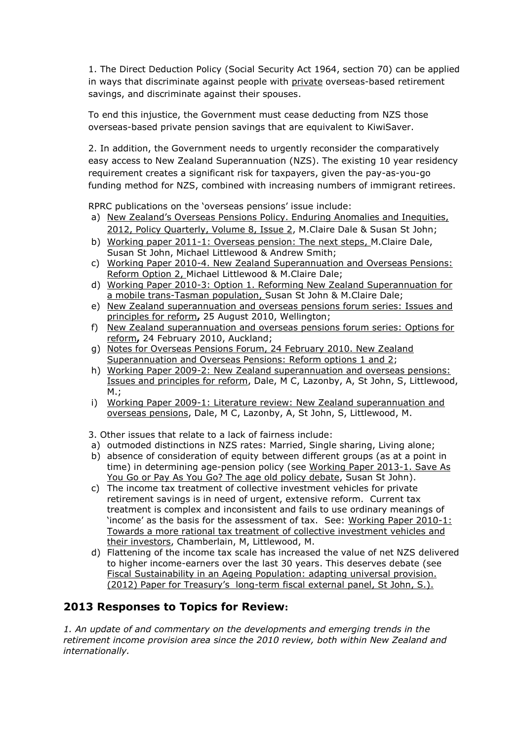1. The Direct Deduction Policy (Social Security Act 1964, section 70) can be applied in ways that discriminate against people with private overseas-based retirement savings, and discriminate against their spouses.

To end this injustice, the Government must cease deducting from NZS those overseas-based private pension savings that are equivalent to KiwiSaver.

2. In addition, the Government needs to urgently reconsider the comparatively easy access to New Zealand Superannuation (NZS). The existing 10 year residency requirement creates a significant risk for taxpayers, given the pay-as-you-go funding method for NZS, combined with increasing numbers of immigrant retirees.

RPRC publications on the 'overseas pensions' issue include:

- a) [New Zealand's Overseas Pensions Policy. Enduring Anomalies and Inequities,](http://ips.ac.nz/publications/files/f40383fed1f.pdf)  [2012, Policy Quarterly, Volume 8, Issue 2,](http://ips.ac.nz/publications/files/f40383fed1f.pdf) M.Claire Dale & Susan St John;
- b) [Working paper 2011-1: Overseas pension: The next steps,](http://docs.business.auckland.ac.nz/Doc/WP-2011-1-Overseas-Pensions-final.pdf) M.Claire Dale, Susan St John, Michael Littlewood & Andrew Smith;
- c) [Working Paper 2010-4. New Zealand Superannuation and Overseas Pensions:](http://docs.business.auckland.ac.nz/Doc/WP-2010-4-NZS-and-Overseas-Pensions-Reform-Option-2.pdf)  [Reform Option 2,](http://docs.business.auckland.ac.nz/Doc/WP-2010-4-NZS-and-Overseas-Pensions-Reform-Option-2.pdf) Michael Littlewood & M.Claire Dale;
- d) [Working Paper 2010-3: Option 1. Reforming New Zealand Superannuation for](http://docs.business.auckland.ac.nz/Doc/WP-2010-3-NZS-and-Overseas-Pensions-Reform-Option-1.pdf)  [a mobile trans-Tasman population,](http://docs.business.auckland.ac.nz/Doc/WP-2010-3-NZS-and-Overseas-Pensions-Reform-Option-1.pdf) Susan St John & M.Claire Dale;
- e) [New Zealand superannuation and overseas pensions forum series: Issues and](http://docs.business.auckland.ac.nz/?title=Overseas%20Pensions%20Forum%20Presentation)  [principles for reform](http://docs.business.auckland.ac.nz/?title=Overseas%20Pensions%20Forum%20Presentation)**,** 25 August 2010, Wellington;
- f) [New Zealand superannuation and overseas pensions forum series: Options for](http://docs.business.auckland.ac.nz/Doc/Options-for-reform-of-section-70-and-the-Direct-Deduction-Policy.pdf)  [reform](http://docs.business.auckland.ac.nz/Doc/Options-for-reform-of-section-70-and-the-Direct-Deduction-Policy.pdf)**,** 24 February 2010, Auckland;
- g) [Notes for Overseas Pensions Forum, 24 February 2010. New Zealand](http://docs.business.auckland.ac.nz/Doc/Forum-Notes-New-Zealand-Superannuation-and-Overseas-Pensions-Reform-options-1-and-2.pdf)  [Superannuation and Overseas Pensions: Reform options 1 and 2;](http://docs.business.auckland.ac.nz/Doc/Forum-Notes-New-Zealand-Superannuation-and-Overseas-Pensions-Reform-options-1-and-2.pdf)
- h) Working Paper 2009-2: New Zealand superannuation and overseas pensions: Issues and principles for reform, Dale, M C, Lazonby, A, St John, S, Littlewood,  $M.:$
- i) Working Paper 2009-1: Literature review: New Zealand superannuation and overseas pensions, Dale, M C, Lazonby, A, St John, S, Littlewood, M.

3. Other issues that relate to a lack of fairness include:

- a) outmoded distinctions in NZS rates: Married, Single sharing, Living alone;
- b) absence of consideration of equity between different groups (as at a point in time) in determining age-pension policy (see Working Paper 2013-1. Save As [You Go or Pay As You Go? The age old policy debate,](http://docs.business.auckland.ac.nz/Doc/WP-2013-1-Policy-Debate-SAYG-or-PAYG-Final.pdf) Susan St John).
- c) The income tax treatment of collective investment vehicles for private retirement savings is in need of urgent, extensive reform. Current tax treatment is complex and inconsistent and fails to use ordinary meanings of 'income' as the basis for the assessment of tax. See: [Working](http://docs.business.auckland.ac.nz/?title=Working%20Paper%202010-1:%20Towards%20a%20more%20rational%20tax%20treatment%20of%20collective%20investment%20vehicles%20and%20their%20investors) Paper 2010-1: Towards a more rational tax treatment of collective [investment](http://docs.business.auckland.ac.nz/?title=Working%20Paper%202010-1:%20Towards%20a%20more%20rational%20tax%20treatment%20of%20collective%20investment%20vehicles%20and%20their%20investors) vehicles and their [investors,](http://docs.business.auckland.ac.nz/?title=Working%20Paper%202010-1:%20Towards%20a%20more%20rational%20tax%20treatment%20of%20collective%20investment%20vehicles%20and%20their%20investors) Chamberlain, M, Littlewood, M.
- d) Flattening of the income tax scale has increased the value of net NZS delivered to higher income-earners over the last 30 years. This deserves debate (see [Fiscal Sustainability in an Ageing Population: adapting universal provision.](http://docs.business.auckland.ac.nz/Doc/St-John-LongTermFiscalOutlook-ExternalPanel-Dec-2012.pdf) [\(2012](http://docs.business.auckland.ac.nz/Doc/St-John-LongTermFiscalOutlook-ExternalPanel-Dec-2012.pdf)) Paper for Treasury's long-term fiscal external panel, St John, S.).

## **2013 Responses to Topics for Review:**

*1. An update of and commentary on the developments and emerging trends in the retirement income provision area since the 2010 review, both within New Zealand and internationally.*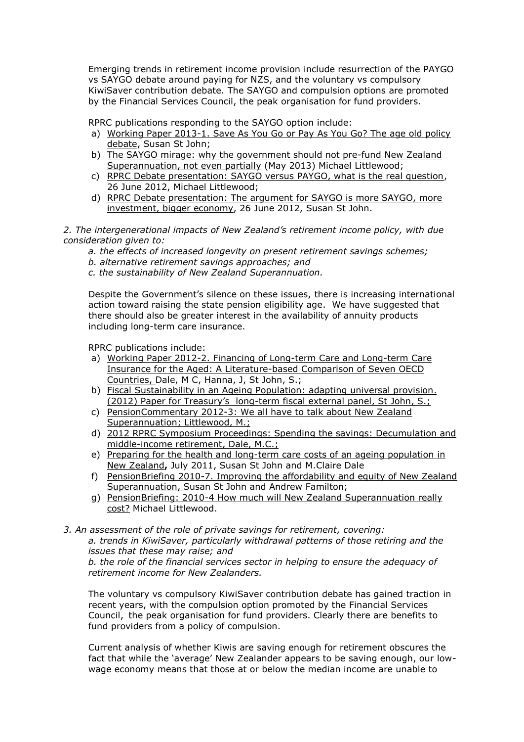Emerging trends in retirement income provision include resurrection of the PAYGO vs SAYGO debate around paying for NZS, and the voluntary vs compulsory KiwiSaver contribution debate. The SAYGO and compulsion options are promoted by the Financial Services Council, the peak organisation for fund providers.

RPRC publications responding to the SAYGO option include:

- a) [Working Paper 2013-1. Save As You Go or Pay As You Go? The age old policy](http://docs.business.auckland.ac.nz/Doc/WP-2013-1-Policy-Debate-SAYG-or-PAYG-Final.pdf)  [debate,](http://docs.business.auckland.ac.nz/Doc/WP-2013-1-Policy-Debate-SAYG-or-PAYG-Final.pdf) Susan St John;
- b) [The SAYGO mirage: why the government should not pre-fund New Zealand](http://www.cflri.org.nz/sites/default/files/docs/RI-Review-2013-Submissions-Michael%20Littlewood%20on%20to%20save%20or%20to%20save%20not.pdf)  [Superannuation, not even partially](http://www.cflri.org.nz/sites/default/files/docs/RI-Review-2013-Submissions-Michael%20Littlewood%20on%20to%20save%20or%20to%20save%20not.pdf) (May 2013) Michael Littlewood;
- c) [RPRC Debate presentation: SAYGO versus PAYGO, what is the real question,](http://docs.business.auckland.ac.nz/Doc/SAYGO-vs-PAYGO-MLittlewood-June-2012.pdf) 26 June 2012, Michael Littlewood;
- d) [RPRC Debate presentation: The argument for SAYGO is more SAYGO, more](http://docs.business.auckland.ac.nz/Doc/SAYGO-vs-PAYGO-SStJohn-June-2012.pdf)  [investment, bigger economy,](http://docs.business.auckland.ac.nz/Doc/SAYGO-vs-PAYGO-SStJohn-June-2012.pdf) 26 June 2012, Susan St John.

*2. The intergenerational impacts of New Zealand's retirement income policy, with due consideration given to:* 

*a. the effects of increased longevity on present retirement savings schemes;* 

- *b. alternative retirement savings approaches; and*
- *c. the sustainability of New Zealand Superannuation.*

Despite the Government's silence on these issues, there is increasing international action toward raising the state pension eligibility age. We have suggested that there should also be greater interest in the availability of annuity products including long-term care insurance.

RPRC publications include:

- a) [Working Paper 2012-2. Financing of Long-term Care and Long-term Care](http://docs.business.auckland.ac.nz/Doc/WP-2012-2-International-Comparison-LTC-Final2.pdf)  [Insurance for the Aged: A Literature-based Comparison of Seven OECD](http://docs.business.auckland.ac.nz/Doc/WP-2012-2-International-Comparison-LTC-Final2.pdf)  [Countries,](http://docs.business.auckland.ac.nz/Doc/WP-2012-2-International-Comparison-LTC-Final2.pdf) Dale, M C, Hanna, J, St John, S.;
- b) [Fiscal Sustainability in an Ageing Population: adapting universal provision.](http://docs.business.auckland.ac.nz/Doc/St-John-LongTermFiscalOutlook-ExternalPanel-Dec-2012.pdf) [\(2012\)](http://docs.business.auckland.ac.nz/Doc/St-John-LongTermFiscalOutlook-ExternalPanel-Dec-2012.pdf) Paper for Treasury's long-term fiscal external panel, St John, S.;
- c) [PensionCommentary 2012-3: We all have to talk about New Zealand](http://docs.business.auckland.ac.nz/?title=PensionCommentary%202012-3:%20We%20all%20have%20to%20talk%20about%20New%20Zealand%20Superannuation)  [Superannuation; Littlewood, M.;](http://docs.business.auckland.ac.nz/?title=PensionCommentary%202012-3:%20We%20all%20have%20to%20talk%20about%20New%20Zealand%20Superannuation)
- d) [2012 RPRC Symposium Proceedings: Spending the savings: Decumulation and](http://docs.business.auckland.ac.nz/Doc/2012-Proceedings-Spending-the-Savings-Symposium.pdf)  [middle-income retirement,](http://docs.business.auckland.ac.nz/Doc/2012-Proceedings-Spending-the-Savings-Symposium.pdf) Dale, M.C.;
- e) [Preparing for the health and long-term care costs of an ageing population](http://docs.business.auckland.ac.nz/?title=Presentation:%20Preparing%20for%20the%20health%20and%20long-term%20care%20costs%20of%20an%20ageing%20population%20in%20New%20Zealand) in [New Zealand](http://docs.business.auckland.ac.nz/?title=Presentation:%20Preparing%20for%20the%20health%20and%20long-term%20care%20costs%20of%20an%20ageing%20population%20in%20New%20Zealand)**,** July 2011, Susan St John and M.Claire Dale
- f) [PensionBriefing 2010-7. Improving the affordability and equity of New Zealand](http://docs.business.auckland.ac.nz/Doc/PB-2010-7-final.pdf)  [Superannuation,](http://docs.business.auckland.ac.nz/Doc/PB-2010-7-final.pdf) Susan St John and Andrew Familton;
- g) [PensionBriefing: 2010-4 How much will New Zealand Superannuation really](http://docs.business.auckland.ac.nz/Doc/PensionBriefing-2010-4-How-much-will-New-Zealand-Superannuation-really-cost.pdf)  [cost?](http://docs.business.auckland.ac.nz/Doc/PensionBriefing-2010-4-How-much-will-New-Zealand-Superannuation-really-cost.pdf) Michael Littlewood.

*3. An assessment of the role of private savings for retirement, covering:* 

*a. trends in KiwiSaver, particularly withdrawal patterns of those retiring and the issues that these may raise; and* 

*b. the role of the financial services sector in helping to ensure the adequacy of retirement income for New Zealanders.* 

The voluntary vs compulsory KiwiSaver contribution debate has gained traction in recent years, with the compulsion option promoted by the Financial Services Council, the peak organisation for fund providers. Clearly there are benefits to fund providers from a policy of compulsion.

Current analysis of whether Kiwis are saving enough for retirement obscures the fact that while the 'average' New Zealander appears to be saving enough, our lowwage economy means that those at or below the median income are unable to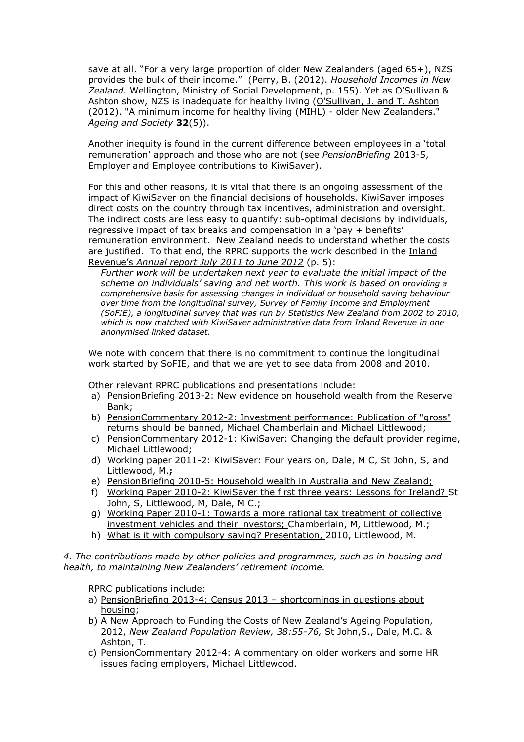save at all. "For a very large proportion of older New Zealanders (aged 65+), NZS provides the bulk of their income." (Perry, B. (2012). *Household Incomes in New Zealand*. Wellington, Ministry of Social Development, p. 155). Yet as O'Sullivan & Ashton show, NZS is inadequate for healthy living (O'Sullivan, J. and T. Ashton [\(2012\). "A minimum income for healthy living \(MIHL\) -](http://journals.cambridge.org/action/displayAbstract?fromPage=online&aid=8597747) older New Zealanders." *[Ageing and Society](http://journals.cambridge.org/action/displayAbstract?fromPage=online&aid=8597747)* **32**(5)).

Another inequity is found in the current difference between employees in a 'total remuneration' approach and those who are not (see *[PensionBriefing](http://docs.business.auckland.ac.nz/Doc/PensionBriefing-2013-5-KiwiSaver-employer-contributions-and-remuneration.pdf)* 2013-5, [Employer and Employee contributions to KiwiSaver\)](http://docs.business.auckland.ac.nz/Doc/PensionBriefing-2013-5-KiwiSaver-employer-contributions-and-remuneration.pdf).

For this and other reasons, it is vital that there is an ongoing assessment of the impact of KiwiSaver on the financial decisions of households. KiwiSaver imposes direct costs on the country through tax incentives, administration and oversight. The indirect costs are less easy to quantify: sub-optimal decisions by individuals, regressive impact of tax breaks and compensation in a 'pay + benefits' remuneration environment. New Zealand needs to understand whether the costs are justified. To that end, the RPRC supports the work described in the [Inland](http://www.ird.govt.nz/aboutir/reports/research/report-ks/research-ks-annual-report-2012.html)  Revenue's *[Annual report July 2011 to June 2012](http://www.ird.govt.nz/aboutir/reports/research/report-ks/research-ks-annual-report-2012.html)* (p. 5):

*Further work will be undertaken next year to evaluate the initial impact of the scheme on individuals' saving and net worth. This work is based on providing a comprehensive basis for assessing changes in individual or household saving behaviour over time from the longitudinal survey, Survey of Family Income and Employment (SoFIE), a longitudinal survey that was run by Statistics New Zealand from 2002 to 2010, which is now matched with KiwiSaver administrative data from Inland Revenue in one anonymised linked dataset.* 

We note with concern that there is no commitment to continue the longitudinal work started by SoFIE, and that we are yet to see data from 2008 and 2010.

Other relevant RPRC publications and presentations include:

- a) [PensionBriefing 2013-2: New evidence on household wealth from the Reserve](http://docs.business.auckland.ac.nz/Doc/PensionBriefing-2013-2-New-evidence-on-household-wealth-from-the-Reserve-Bank.pdf)  [Bank;](http://docs.business.auckland.ac.nz/Doc/PensionBriefing-2013-2-New-evidence-on-household-wealth-from-the-Reserve-Bank.pdf)
- b) [PensionCommentary 2012-2: Investment performance: Publication of "gross"](http://docs.business.auckland.ac.nz/Doc/PC-2012-2-Publication-of-gross-returns-should-be-banned.pdf)  [returns should be banned,](http://docs.business.auckland.ac.nz/Doc/PC-2012-2-Publication-of-gross-returns-should-be-banned.pdf) Michael Chamberlain and Michael Littlewood;
- c) [PensionCommentary 2012-1: KiwiSaver: Changing the default provider regime,](http://docs.business.auckland.ac.nz/Doc/PC-2012-1-KiwiSaver-changing-the-default-provider-regime.pdf) Michael Littlewood;
- d) [Working paper 2011-2: KiwiSaver: Four years on,](http://docs.business.auckland.ac.nz/Doc/WP-2011-2-Kiwisaver-Lessons-Final.pdf) Dale, M C, St John, S, and Littlewood, M.**;**
- e) [PensionBriefing 2010-5: Household wealth in Australia and New Zealand;](http://docs.business.auckland.ac.nz/Doc/PensionBriefing-2010-5-Household-wealth-in-Australia-and-New-Zealand-revised.pdf)
- f) [Working Paper 2010-2: KiwiSaver the first three years: Lessons for Ireland?](http://docs.business.auckland.ac.nz/Doc/Working-Paper-2-10-KiwiSaver-the-first-three-years-Lessons-for-Ireland.pdf) St John, S, Littlewood, M, Dale, M C.;
- g) [Working Paper 2010-1: Towards a more rational tax treatment of collective](http://docs.business.auckland.ac.nz/Doc/WP-1-10-Towards-a-more-rational-tax-treatment-of-collective-investment-vehicles-and-their-investors.pdf)  [investment vehicles and their investors;](http://docs.business.auckland.ac.nz/Doc/WP-1-10-Towards-a-more-rational-tax-treatment-of-collective-investment-vehicles-and-their-investors.pdf) Chamberlain, M, Littlewood, M.;
- h) [What is it with compulsory saving?](http://docs.business.auckland.ac.nz/?title=Presentation:%20What%20is%20it%20with%20compulsory%20saving?) Presentation, 2010, Littlewood, M.

*4. The contributions made by other policies and programmes, such as in housing and health, to maintaining New Zealanders' retirement income.* 

RPRC publications include:

- a) [PensionBriefing 2013-4: Census 2013](http://docs.business.auckland.ac.nz/Doc/PensionBriefing-2013-4-shortcomings-in-Census-2013-questions-on-housing.pdf)  shortcomings in questions about [housing;](http://docs.business.auckland.ac.nz/Doc/PensionBriefing-2013-4-shortcomings-in-Census-2013-questions-on-housing.pdf)
- b) A New Approach to Funding the Costs of New Zealand's Ageing Population, 2012, *New Zealand Population Review, 38:55-76,* St John,S., Dale, M.C. & Ashton, T.
- c) [PensionCommentary 2012-4: A commentary on older workers and some HR](http://docs.business.auckland.ac.nz/Doc/PC-2012-4-A-commentary-on-older-workers-and-some-HR-issues-facing-employers.pdf)  [issues facing employers,](http://docs.business.auckland.ac.nz/Doc/PC-2012-4-A-commentary-on-older-workers-and-some-HR-issues-facing-employers.pdf) Michael Littlewood.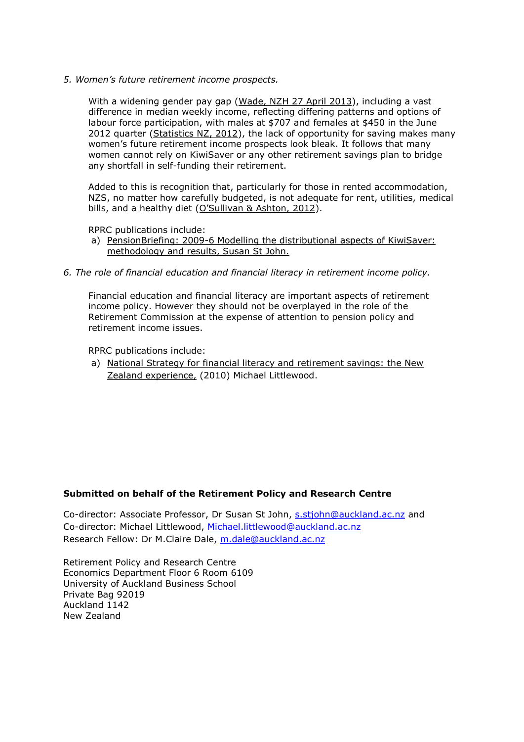*5. Women's future retirement income prospects.* 

With a widening gender pay gap [\(Wade, NZH 27 April 2013\)](http://www.nzherald.co.nz/nz/news/article.cfm?c_id=1&objectid=10880050), including a vast difference in median weekly income, reflecting differing patterns and options of labour force participation, with males at \$707 and females at \$450 in the June 2012 quarter [\(Statistics NZ, 2012\)](http://www.stats.govt.nz/~/media/Statistics/Browse%20for%20stats/NZIncomeSurvey/HOTPJun12qtr/NZIncomeSurveyJun12qtrHOTP.pdf), the lack of opportunity for saving makes many women's future retirement income prospects look bleak. It follows that many women cannot rely on KiwiSaver or any other retirement savings plan to bridge any shortfall in self-funding their retirement.

Added to this is recognition that, particularly for those in rented accommodation, NZS, no matter how carefully budgeted, is not adequate for rent, utilities, medical bills, and a healthy diet (O'[Sullivan & Ashton, 2012\)](http://journals.cambridge.org/action/displayAbstract?fromPage=online&aid=8597747).

RPRC publications include:

- a) PensionBriefing: 2009-6 Modelling the distributional aspects of KiwiSaver: [methodology and results,](http://docs.business.auckland.ac.nz/Doc/PensionBriefing-2009-6-Modelling-the-distributional-aspects-of-KiwiSaver-methodology-and-results.pdf) Susan St John.
- *6. The role of financial education and financial literacy in retirement income policy.*

Financial education and financial literacy are important aspects of retirement income policy. However they should not be overplayed in the role of the Retirement Commission at the expense of attention to pension policy and retirement income issues.

RPRC publications include:

a) [National Strategy for financial literacy and retirement savings: the New](http://docs.business.auckland.ac.nz/Doc/Paper-National-Strategy-for-financial-literacy-and-retirement-savings-the-New-Zealand-experience.pdf)  [Zealand experience,](http://docs.business.auckland.ac.nz/Doc/Paper-National-Strategy-for-financial-literacy-and-retirement-savings-the-New-Zealand-experience.pdf) (2010) Michael Littlewood.

### **Submitted on behalf of the Retirement Policy and Research Centre**

Co-director: Associate Professor, Dr Susan St John, [s.stjohn@auckland.ac.nz](mailto:s.stjohn@auckland.ac.nz) and Co-director: Michael Littlewood, [Michael.littlewood@auckland.ac.nz](mailto:Michael.littlewood@auckland.ac.nz) Research Fellow: Dr M.Claire Dale, [m.dale@auckland.ac.nz](mailto:m.dale@auckland.ac.nz)

Retirement Policy and Research Centre Economics Department Floor 6 Room 6109 University of Auckland Business School Private Bag 92019 Auckland 1142 New Zealand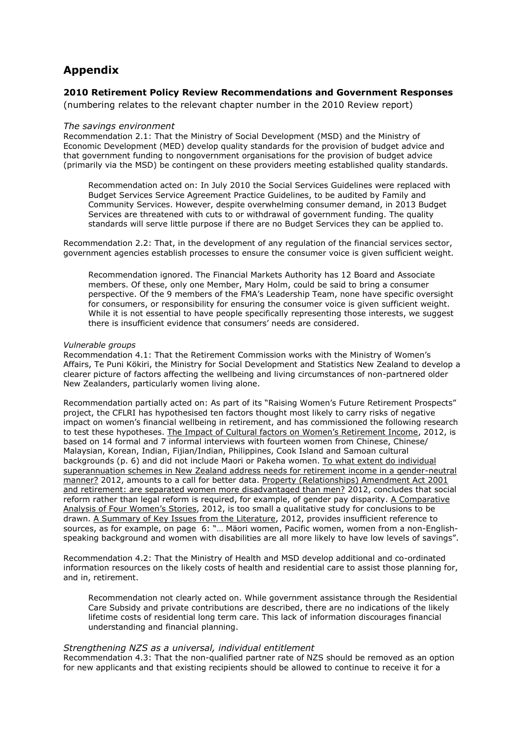# **Appendix**

### **2010 Retirement Policy Review Recommendations and Government Responses**

(numbering relates to the relevant chapter number in the 2010 Review report)

#### *The savings environment*

Recommendation 2.1: That the Ministry of Social Development (MSD) and the Ministry of Economic Development (MED) develop quality standards for the provision of budget advice and that government funding to nongovernment organisations for the provision of budget advice (primarily via the MSD) be contingent on these providers meeting established quality standards.

Recommendation acted on: In July 2010 the Social Services Guidelines were replaced with Budget Services Service Agreement Practice Guidelines, to be audited by Family and Community Services. However, despite overwhelming consumer demand, in 2013 Budget Services are threatened with cuts to or withdrawal of government funding. The quality standards will serve little purpose if there are no Budget Services they can be applied to.

Recommendation 2.2: That, in the development of any regulation of the financial services sector, government agencies establish processes to ensure the consumer voice is given sufficient weight.

Recommendation ignored. The Financial Markets Authority has 12 Board and Associate members. Of these, only one Member, Mary Holm, could be said to bring a consumer perspective. Of the 9 members of the FMA's Leadership Team, none have specific oversight for consumers, or responsibility for ensuring the consumer voice is given sufficient weight. While it is not essential to have people specifically representing those interests, we suggest there is insufficient evidence that consumers' needs are considered.

#### *Vulnerable groups*

Recommendation 4.1: That the Retirement Commission works with the Ministry of Women's Affairs, Te Puni Kökiri, the Ministry for Social Development and Statistics New Zealand to develop a clearer picture of factors affecting the wellbeing and living circumstances of non-partnered older New Zealanders, particularly women living alone.

Recommendation partially acted on: As part of its "Raising Women's Future Retirement Prospects" project, the CFLRI has hypothesised ten factors thought most likely to carry risks of negative impact on women's financial wellbeing in retirement, and has commissioned the following research to test these hypotheses. [The Impact of Cultural factors on Women's Retirement Income](http://www.cflri.org.nz/sites/default/files/docs/RI-Impact%20of%20cultural%20factors%20on%20women%27s%20retirement%20income.pdf), 2012, is based on 14 formal and 7 informal interviews with fourteen women from Chinese, Chinese/ Malaysian, Korean, Indian, Fijian/Indian, Philippines, Cook Island and Samoan cultural backgrounds (p. 6) and did not include Maori or Pakeha women. [To what extent do individual](http://www.cflri.org.nz/sites/default/files/docs/RI-Gender-Neutrality-Superannuation-2012.pdf)  [superannuation schemes in New Zealand address needs for retirement income in a gender-neutral](http://www.cflri.org.nz/sites/default/files/docs/RI-Gender-Neutrality-Superannuation-2012.pdf)  [manner?](http://www.cflri.org.nz/sites/default/files/docs/RI-Gender-Neutrality-Superannuation-2012.pdf) 2012, amounts to a call for better data. [Property \(Relationships\) Amendment Act 2001](http://www.cflri.org.nz/sites/default/files/docs/RI-Does-Property-Relationships-Act-Disadvantage-Women-2012.pdf)  [and retirement: are separated women more disadvantaged than men?](http://www.cflri.org.nz/sites/default/files/docs/RI-Does-Property-Relationships-Act-Disadvantage-Women-2012.pdf) 2012, concludes that social reform rather than legal reform is required, for example, of gender pay disparity. [A Comparative](http://www.cflri.org.nz/sites/default/files/docs/RI-Four-Womens-Stories-2012.pdf)  [Analysis of Four Women's Stori](http://www.cflri.org.nz/sites/default/files/docs/RI-Four-Womens-Stories-2012.pdf)es, 2012, is too small a qualitative study for conclusions to be drawn. [A Summary of Key Issues from the Literature,](http://www.cflri.org.nz/sites/default/files/docs/RI-Womens-Literature-Review-2012.pdf) 2012, provides insufficient reference to sources, as for example, on page 6: "… Mäori women, Pacific women, women from a non-Englishspeaking background and women with disabilities are all more likely to have low levels of savings".

Recommendation 4.2: That the Ministry of Health and MSD develop additional and co-ordinated information resources on the likely costs of health and residential care to assist those planning for, and in, retirement.

Recommendation not clearly acted on. While government assistance through the Residential Care Subsidy and private contributions are described, there are no indications of the likely lifetime costs of residential long term care. This lack of information discourages financial understanding and financial planning.

#### *Strengthening NZS as a universal, individual entitlement*

Recommendation 4.3: That the non-qualified partner rate of NZS should be removed as an option for new applicants and that existing recipients should be allowed to continue to receive it for a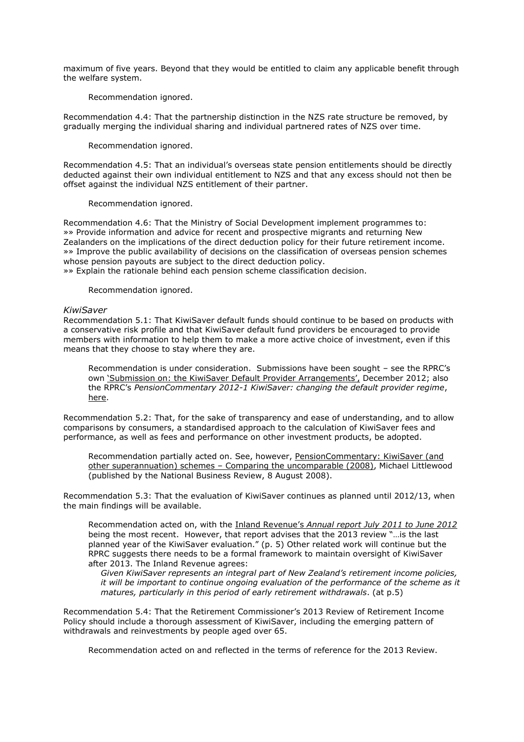maximum of five years. Beyond that they would be entitled to claim any applicable benefit through the welfare system.

Recommendation ignored.

Recommendation 4.4: That the partnership distinction in the NZS rate structure be removed, by gradually merging the individual sharing and individual partnered rates of NZS over time.

Recommendation ignored.

Recommendation 4.5: That an individual's overseas state pension entitlements should be directly deducted against their own individual entitlement to NZS and that any excess should not then be offset against the individual NZS entitlement of their partner.

Recommendation ignored.

Recommendation 4.6: That the Ministry of Social Development implement programmes to: »» Provide information and advice for recent and prospective migrants and returning New Zealanders on the implications of the direct deduction policy for their future retirement income. »» Improve the public availability of decisions on the classification of overseas pension schemes whose pension payouts are subject to the direct deduction policy.

»» Explain the rationale behind each pension scheme classification decision.

Recommendation ignored.

#### *KiwiSaver*

Recommendation 5.1: That KiwiSaver default funds should continue to be based on products with a conservative risk profile and that KiwiSaver default fund providers be encouraged to provide members with information to help them to make a more active choice of investment, even if this means that they choose to stay where they are.

Recommendation is under consideration. Submissions have been sought – see the RPRC's own 'Su[bmission on: the KiwiSaver Default Provider A](http://docs.business.auckland.ac.nz/Doc/2012-Submission-on-the-Review-of-KiwiSaver-Default-Provider-Arrangements.pdf)rrangements', December 2012; also the RPRC's *PensionCommentary 2012-1 KiwiSaver: changing the default provider regime*, [here.](http://docs.business.auckland.ac.nz/?title=PensionCommentary%202012-1:%20KiwiSaver:%20Changing%20the%20default%20provider%20regime)

Recommendation 5.2: That, for the sake of transparency and ease of understanding, and to allow comparisons by consumers, a standardised approach to the calculation of KiwiSaver fees and performance, as well as fees and performance on other investment products, be adopted.

Recommendation partially acted on. See, however, PensionCommentary: KiwiSaver (and other superannuation) schemes – [Comparing the uncomparable \(2008\),](http://docs.business.auckland.ac.nz/Doc/PensionCommentary-KiwiSaver-(and-other-superannuation)-schemes.-Comparing-the-uncomparable.pdf) Michael Littlewood (published by the National Business Review, 8 August 2008).

Recommendation 5.3: That the evaluation of KiwiSaver continues as planned until 2012/13, when the main findings will be available.

Recommendation acted on, with the Inland Revenue's *[Annual report July 2011 to June 2012](http://www.ird.govt.nz/aboutir/reports/research/report-ks/research-ks-annual-report-2012.html)* being the most recent. However, that report advises that the 2013 review "…is the last planned year of the KiwiSaver evaluation." (p. 5) Other related work will continue but the RPRC suggests there needs to be a formal framework to maintain oversight of KiwiSaver after 2013. The Inland Revenue agrees:

*Given KiwiSaver represents an integral part of New Zealand's retirement income policies, it will be important to continue ongoing evaluation of the performance of the scheme as it matures, particularly in this period of early retirement withdrawals*. (at p.5)

Recommendation 5.4: That the Retirement Commissioner's 2013 Review of Retirement Income Policy should include a thorough assessment of KiwiSaver, including the emerging pattern of withdrawals and reinvestments by people aged over 65.

Recommendation acted on and reflected in the terms of reference for the 2013 Review.